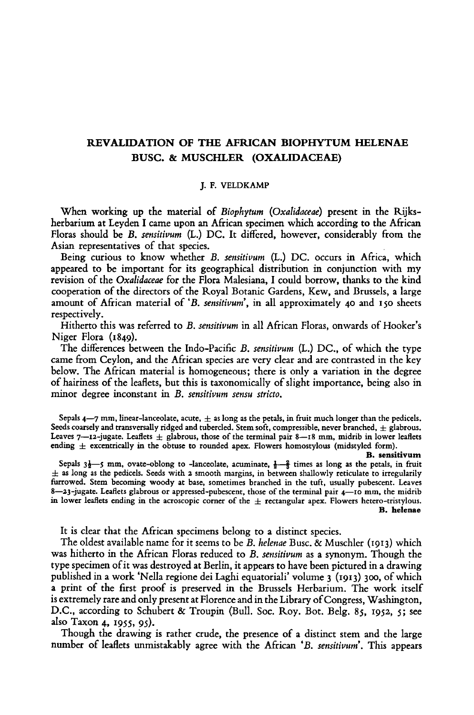## REVALIDATION OF THE AFRICAN BIOPHYTUM HELENAE Busc. & Muschler (Oxalidaceae)

## J.F. Veldkamp

When working up the material of Biophytum (Oxalidaceae) present in the Rijksherbarium at Leyden I came upon an African specimen which according to the African Floras should be B. sensitivum (L.) DC. It differed, however, considerably from the Asian representatives of that species.

Being curious to know whether B. sensitivum (L.) DC. occurs in Africa, which appeared to be important for its geographical distribution in conjunction with my revision of the Oxalidaceae for the Flora Malesiana, I could borrow, thanks to the kind cooperation of the directors of the Royal Botanic Gardens, Kew, and Brussels, <sup>a</sup> large amount of African material of 'B. sensitivum', in all approximately <sup>40</sup> and <sup>150</sup> sheets respectively.

Hitherto this was referred to B. sensitivum in all African Floras, onwards of Hooker's Niger Flora (1849).

The differences between the Indo-Pacific B. sensitivum (L.) DC., of which the type came from Ceylon, and the African species are very clear and are contrasted in the key below. The African material is homogeneous; there is only a variation in the degree of hairiness of the leaflets, but this is taxonomically of slight importance, being also in minor degree inconstant in B. sensitivum sensu stricto.

Sepals  $4-7$  mm, linear-lanceolate, acute,  $\pm$  as long as the petals, in fruit much longer than the pedicels. Seeds coarsely and transversally ridged and tubercled. Stem soft, compressible, never branched,  $\pm$  glabrous. Leaves  $7$ —12-jugate. Leaflets  $\pm$  glabrous, those of the terminal pair 8—18 mm, midrib in lower leaflets ending  $\pm$  excentrically in the obtuse to rounded apex. Flowers homostylous (midstyled form).

B. sensitivum

Sepals  $3\frac{1}{2}$ —5 mm, ovate-oblong to -lanceolate, acuminate,  $\frac{1}{2}$ — $\frac{2}{3}$  times as long as the petals, in fruit  $\pm$  as long as the pedicels. Seeds with 2 smooth margins, in between shallowly reticulate to irregularily furrowed. Stem becoming woody at base, sometimes branched in the tuft, usually pubescent. Leaves 8—23-jugate. Leaflets glabrous or appressed-pubescent, those of the terminal pair 4—10 mm, the midrib in lower leaflets ending in the acroscopic corner of the  $\pm$  rectangular apex. Flowers hetero-tristylous. B. helenae

It is clear that the African specimens belong to <sup>a</sup> distinct species.

The oldest available name for it seems to be B, helenae Busc. & Muschler (1913) which was hitherto in the African Floras reduced to B. *sensitivum* as a synonym. Though the type specimen of it was destroyed at Berlin, it appears to have been pictured in a drawing published in <sup>a</sup> work 'Nella regione dei Laghi equatoriali' volume <sup>3</sup> (1913) 300, of which <sup>a</sup> print of the first proof is preserved in the Brussels Herbarium. The work itself is extremely rare and only present at Florence and in the Library of Congress, Washington, D.C., according to Schubert & Troupin (Bull. Soc. Roy. Bot. Belg. 85, 1932, 5; see also Taxon 4, 1955, 95).

Though the drawing is rather crude, the presence of <sup>a</sup> distinct stem and the large number of leaflets unmistakably agree with the African 'B. sensitivum'. This appears